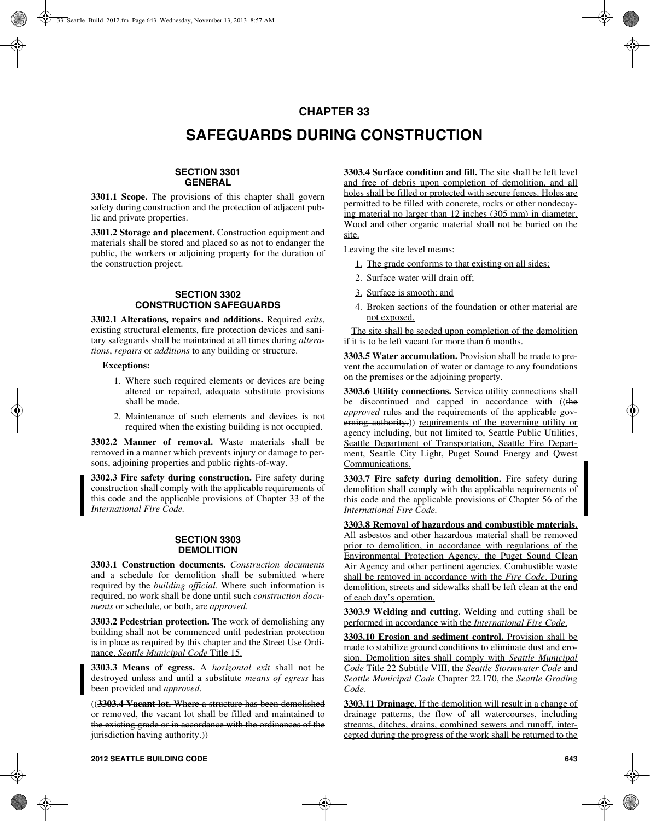## **CHAPTER 33**

# **SAFEGUARDS DURING CONSTRUCTION**

### **SECTION 3301 GENERAL**

**3301.1 Scope.** The provisions of this chapter shall govern safety during construction and the protection of adjacent public and private properties.

**3301.2 Storage and placement.** Construction equipment and materials shall be stored and placed so as not to endanger the public, the workers or adjoining property for the duration of the construction project.

### **SECTION 3302 CONSTRUCTION SAFEGUARDS**

**3302.1 Alterations, repairs and additions.** Required *exits*, existing structural elements, fire protection devices and sanitary safeguards shall be maintained at all times during *alterations*, *repairs* or *additions* to any building or structure.

### **Exceptions:**

- 1. Where such required elements or devices are being altered or repaired, adequate substitute provisions shall be made.
- 2. Maintenance of such elements and devices is not required when the existing building is not occupied.

**3302.2 Manner of removal.** Waste materials shall be removed in a manner which prevents injury or damage to persons, adjoining properties and public rights-of-way.

**3302.3 Fire safety during construction.** Fire safety during construction shall comply with the applicable requirements of this code and the applicable provisions of Chapter 33 of the *International Fire Code.* 

### **SECTION 3303 DEMOLITION**

**3303.1 Construction documents.** *Construction documents* and a schedule for demolition shall be submitted where required by the *building official*. Where such information is required, no work shall be done until such *construction documents* or schedule, or both, are *approved*.

**3303.2 Pedestrian protection.** The work of demolishing any building shall not be commenced until pedestrian protection is in place as required by this chapter and the Street Use Ordinance, *Seattle Municipal Code* Title 15.

**3303.3 Means of egress.** A *horizontal exit* shall not be destroyed unless and until a substitute *means of egress* has been provided and *approved*.

((**3303.4 Vacant lot.** Where a structure has been demolished or removed, the vacant lot shall be filled and maintained to the existing grade or in accordance with the ordinances of the jurisdiction having authority.)

**3303.4 Surface condition and fill.** The site shall be left level and free of debris upon completion of demolition, and all holes shall be filled or protected with secure fences. Holes are permitted to be filled with concrete, rocks or other nondecaying material no larger than 12 inches (305 mm) in diameter. Wood and other organic material shall not be buried on the site.

Leaving the site level means:

- 1. The grade conforms to that existing on all sides;
- 2. Surface water will drain off;
- 3. Surface is smooth; and
- 4. Broken sections of the foundation or other material are not exposed.

 The site shall be seeded upon completion of the demolition if it is to be left vacant for more than 6 months.

**3303.5 Water accumulation.** Provision shall be made to prevent the accumulation of water or damage to any foundations on the premises or the adjoining property.

**3303.6 Utility connections.** Service utility connections shall be discontinued and capped in accordance with ((the *approved* rules and the requirements of the applicable governing authority.) requirements of the governing utility or agency including, but not limited to, Seattle Public Utilities, Seattle Department of Transportation, Seattle Fire Department, Seattle City Light, Puget Sound Energy and Qwest Communications.

**3303.7 Fire safety during demolition.** Fire safety during demolition shall comply with the applicable requirements of this code and the applicable provisions of Chapter 56 of the *International Fire Code.*

**3303.8 Removal of hazardous and combustible materials.** All asbestos and other hazardous material shall be removed prior to demolition, in accordance with regulations of the Environmental Protection Agency, the Puget Sound Clean Air Agency and other pertinent agencies. Combustible waste shall be removed in accordance with the *Fire Code*. During demolition, streets and sidewalks shall be left clean at the end of each day's operation.

**3303.9 Welding and cutting.** Welding and cutting shall be performed in accordance with the *International Fire Code*.

**3303.10 Erosion and sediment control.** Provision shall be made to stabilize ground conditions to eliminate dust and erosion. Demolition sites shall comply with *Seattle Municipal Code* Title 22 Subtitle VIII, the *Seattle Stormwater Code* and *Seattle Municipal Code* Chapter 22.170, the *Seattle Grading Code*.

**3303.11 Drainage.** If the demolition will result in a change of drainage patterns, the flow of all watercourses, including streams, ditches, drains, combined sewers and runoff, intercepted during the progress of the work shall be returned to the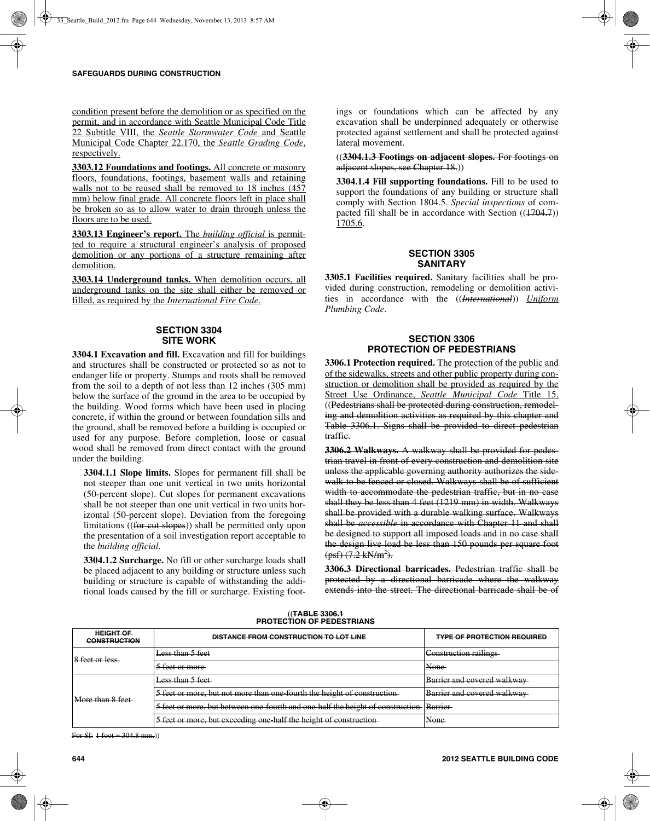condition present before the demolition or as specified on the permit, and in accordance with Seattle Municipal Code Title 22 Subtitle VIII, the *Seattle Stormwater Code* and Seattle Municipal Code Chapter 22.170, the *Seattle Grading Code*, respectively.

**3303.12 Foundations and footings.** All concrete or masonry floors, foundations, footings, basement walls and retaining walls not to be reused shall be removed to 18 inches  $(457)$ mm) below final grade. All concrete floors left in place shall be broken so as to allow water to drain through unless the floors are to be used.

**3303.13 Engineer's report.** The *building official* is permitted to require a structural engineer's analysis of proposed demolition or any portions of a structure remaining after demolition.

**3303.14 Underground tanks.** When demolition occurs, all underground tanks on the site shall either be removed or filled, as required by the *International Fire Code*.

## **SECTION 3304 SITE WORK**

**3304.1 Excavation and fill.** Excavation and fill for buildings and structures shall be constructed or protected so as not to endanger life or property. Stumps and roots shall be removed from the soil to a depth of not less than 12 inches (305 mm) below the surface of the ground in the area to be occupied by the building. Wood forms which have been used in placing concrete, if within the ground or between foundation sills and the ground, shall be removed before a building is occupied or used for any purpose. Before completion, loose or casual wood shall be removed from direct contact with the ground under the building.

**3304.1.1 Slope limits.** Slopes for permanent fill shall be not steeper than one unit vertical in two units horizontal (50-percent slope). Cut slopes for permanent excavations shall be not steeper than one unit vertical in two units horizontal (50-percent slope). Deviation from the foregoing limitations ((for cut slopes)) shall be permitted only upon the presentation of a soil investigation report acceptable to the *building official*.

**3304.1.2 Surcharge.** No fill or other surcharge loads shall be placed adjacent to any building or structure unless such building or structure is capable of withstanding the additional loads caused by the fill or surcharge. Existing footings or foundations which can be affected by any excavation shall be underpinned adequately or otherwise protected against settlement and shall be protected against lateral movement.

((**3304.1.3 Footings on adjacent slopes.** For footings on adjacent slopes, see Chapter 18.))

**3304.1.4 Fill supporting foundations.** Fill to be used to support the foundations of any building or structure shall comply with Section 1804.5. *Special inspections* of compacted fill shall be in accordance with Section ((1704.7)) 1705.6.

### **SECTION 3305 SANITARY**

**3305.1 Facilities required.** Sanitary facilities shall be provided during construction, remodeling or demolition activities in accordance with the ((*International*)) *Uniform Plumbing Code*.

### **SECTION 3306 PROTECTION OF PEDESTRIANS**

**3306.1 Protection required.** The protection of the public and of the sidewalks, streets and other public property during construction or demolition shall be provided as required by the Street Use Ordinance, *Seattle Municipal Code* Title 15. ((Pedestrians shall be protected during construction, remodeling and demolition activities as required by this chapter and Table 3306.1. Signs shall be provided to direct pedestrian traffic.

**3306.2 Walkways.** A walkway shall be provided for pedestrian travel in front of every construction and demolition site unless the applicable governing authority authorizes the sidewalk to be fenced or closed. Walkways shall be of sufficient width to accommodate the pedestrian traffic, but in no case shall they be less than 4 feet (1219 mm) in width. Walkways shall be provided with a durable walking surface. Walkways shall be *accessible* in accordance with Chapter 11 and shall be designed to support all imposed loads and in no case shall the design live load be less than 150 pounds per square foot (psf) (7.2 kN/m<sup>2</sup>).

**3306.3 Directional barricades.** Pedestrian traffic shall be protected by a directional barricade where the walkway extends into the street. The directional barricade shall be of

| <b>HEIGHT OF</b><br><b>CONSTRUCTION</b> | <b>DISTANCE FROM CONSTRUCTION TO LOT LINE</b>                                   | <b>TYPE OF PROTECTION REQUIRED</b> |
|-----------------------------------------|---------------------------------------------------------------------------------|------------------------------------|
| 8 feet or less                          | Less than 5 feet                                                                | Construction railings              |
|                                         | 5 feet or more                                                                  | <b>None</b><br><b>TAQIIQ</b>       |
| More than 8 feet                        | Less than 5 feet                                                                | Barrier and covered walkway        |
|                                         | 5 feet or more, but not more than one fourth the height of construction         | Barrier and covered walkway        |
|                                         | 5 feet or more, but between one fourth and one half the height of construction- | <b>Barrier</b>                     |
|                                         | 5 feet or more, but exceeding one-half the height of construction               | Mone<br>$\cdots$                   |

# ((**TABLE 3306.1 PROTECTION OF PEDESTRIANS**

For SI:  $1$  foot = 304.8 mm.)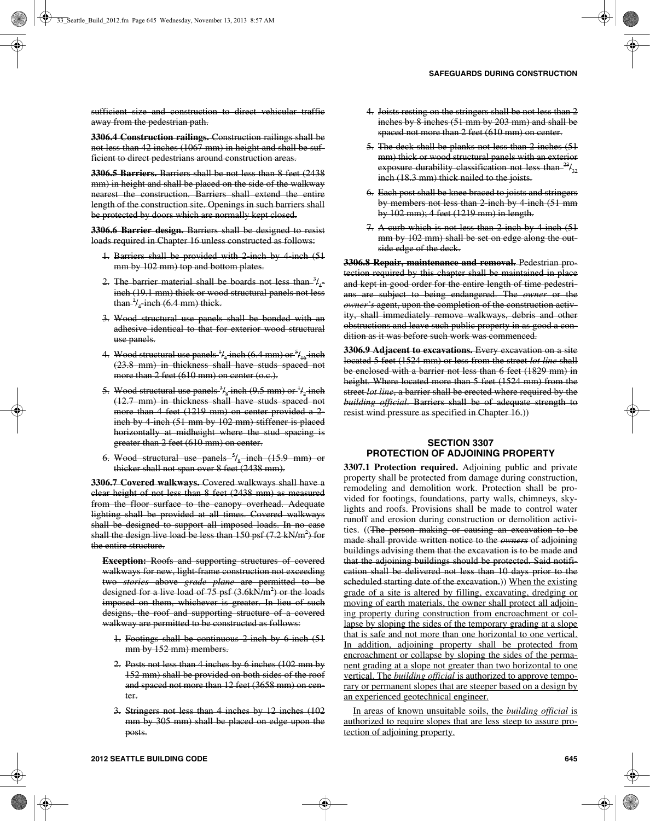sufficient size and construction to direct vehicular traffic away from the pedestrian path.

**3306.4 Construction railings.** Construction railings shall be not less than 42 inches (1067 mm) in height and shall be sufficient to direct pedestrians around construction areas.

**3306.5 Barriers.** Barriers shall be not less than 8 feet (2438 mm) in height and shall be placed on the side of the walkway nearest the construction. Barriers shall extend the entire length of the construction site. Openings in such barriers shall be protected by doors which are normally kept closed.

**3306.6 Barrier design.** Barriers shall be designed to resist loads required in Chapter 16 unless constructed as follows:

- 1. Barriers shall be provided with 2 inch by 4 inch (51) mm by 102 mm) top and bottom plates.
- 2. The barrier material shall be boards not less than  $\frac{3}{4}$ inch (19.1 mm) thick or wood structural panels not less than  $^{\ddagger}$ /<sub>4</sub> -inch (6.4 mm) thick.
- 3. Wood structural use panels shall be bonded with an adhesive identical to that for exterior wood structural use panels.
- 4. Wood structural use panels  $^{1}\!l_{4}$  inch (6.4 mm) or  $^{5}\!l_{16}$  inch (23.8 mm) in thickness shall have studs spaced not more than 2 feet  $(610 \text{ mm})$  on center  $(0.6)$ .
- 5. Wood structural use panels  $\frac{3}{4}$  inch (9.5 mm) or  $\frac{1}{4}$  inch (12.7 mm) in thickness shall have studs spaced not more than 4 feet (1219 mm) on center provided a 2inch by 4 inch (51 mm by 102 mm) stiffener is placed horizontally at midheight where the stud spacing is greater than 2 feet (610 mm) on center.
- 6. Wood structural use panels <sup>5</sup>/<sub>s</sub> inch (15.9 mm) or thicker shall not span over 8 feet (2438 mm).

**3306.7 Covered walkways.** Covered walkways shall have a clear height of not less than 8 feet (2438 mm) as measured from the floor surface to the canopy overhead. Adequate lighting shall be provided at all times. Covered walkways shall be designed to support all imposed loads. In no case shall the design live load be less than  $150$  psf (7.2 kN/m<sup>2</sup>) for the entire structure.

**Exception:** Roofs and supporting structures of covered walkways for new, light-frame construction not exceeding two *stories* above *grade plane* are permitted to be designed for a live load of 75 psf (3.6kN/m<sup>2</sup>) or the loads imposed on them, whichever is greater. In lieu of such designs, the roof and supporting structure of a covered walkway are permitted to be constructed as follows:

- 1. Footings shall be continuous 2 inch by 6 inch (51 mm by 152 mm) members.
- 2. Posts not less than 4 inches by 6 inches (102 mm by 152 mm) shall be provided on both sides of the roof and spaced not more than 12 feet (3658 mm) on center.
- 3. Stringers not less than 4 inches by 12 inches (102 mm by 305 mm) shall be placed on edge upon the posts.
- 4. Joists resting on the stringers shall be not less than 2 inches by 8 inches (51 mm by 203 mm) and shall be spaced not more than 2 feet (610 mm) on center.
- 5. The deck shall be planks not less than 2 inches (51 mm) thick or wood structural panels with an exterior exposure durability classification not less than  $^{23}I_{32}$ inch (18.3 mm) thick nailed to the joists.
- 6. Each post shall be knee braced to joists and stringers by members not less than 2-inch by 4-inch (51 mm by 102 mm); 4 feet (1219 mm) in length.
- 7. A curb which is not less than 2 inch by 4 inch (51) mm by 102 mm) shall be set on edge along the outside edge of the deck.

**3306.8 Repair, maintenance and removal.** Pedestrian protection required by this chapter shall be maintained in place and kept in good order for the entire length of time pedestrians are subject to being endangered. The *owner* or the *owner's* agent, upon the completion of the construction activity, shall immediately remove walkways, debris and other obstructions and leave such public property in as good a condition as it was before such work was commenced.

**3306.9 Adjacent to excavations.** Every excavation on a site located 5 feet (1524 mm) or less from the street *lot line* shall be enclosed with a barrier not less than 6 feet (1829 mm) in height. Where located more than 5 feet (1524 mm) from the street *lot line*, a barrier shall be erected where required by the *building official*. Barriers shall be of adequate strength to resist wind pressure as specified in Chapter 16.))

## **SECTION 3307 PROTECTION OF ADJOINING PROPERTY**

**3307.1 Protection required.** Adjoining public and private property shall be protected from damage during construction, remodeling and demolition work. Protection shall be provided for footings, foundations, party walls, chimneys, skylights and roofs. Provisions shall be made to control water runoff and erosion during construction or demolition activities. ((The person making or causing an excavation to be made shall provide written notice to the *owners* of adjoining buildings advising them that the excavation is to be made and that the adjoining buildings should be protected. Said notification shall be delivered not less than 10 days prior to the scheduled starting date of the excavation.)) When the existing grade of a site is altered by filling, excavating, dredging or moving of earth materials, the owner shall protect all adjoining property during construction from encroachment or collapse by sloping the sides of the temporary grading at a slope that is safe and not more than one horizontal to one vertical. In addition, adjoining property shall be protected from encroachment or collapse by sloping the sides of the permanent grading at a slope not greater than two horizontal to one vertical. The *building official* is authorized to approve temporary or permanent slopes that are steeper based on a design by an experienced geotechnical engineer.

 In areas of known unsuitable soils, the *building official* is authorized to require slopes that are less steep to assure protection of adjoining property.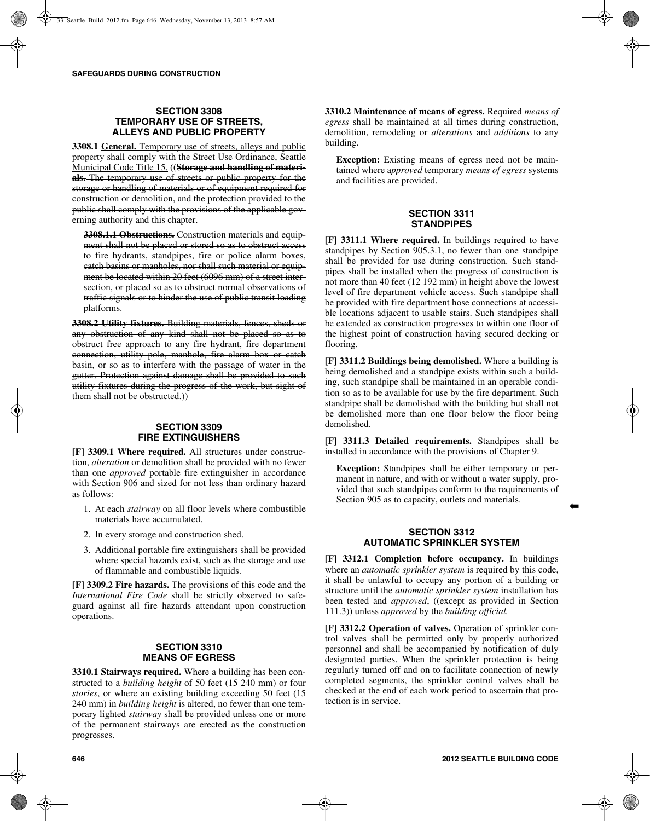## **SECTION 3308 TEMPORARY USE OF STREETS, ALLEYS AND PUBLIC PROPERTY**

**3308.1 General.** Temporary use of streets, alleys and public property shall comply with the Street Use Ordinance, Seattle Municipal Code Title 15. ((**Storage and handling of materials.** The temporary use of streets or public property for the storage or handling of materials or of equipment required for construction or demolition, and the protection provided to the public shall comply with the provisions of the applicable governing authority and this chapter.

**3308.1.1 Obstructions.** Construction materials and equipment shall not be placed or stored so as to obstruct access to fire hydrants, standpipes, fire or police alarm boxes, catch basins or manholes, nor shall such material or equipment be located within 20 feet (6096 mm) of a street intersection, or placed so as to obstruct normal observations of traffic signals or to hinder the use of public transit loading platforms.

**3308.2 Utility fixtures.** Building materials, fences, sheds or any obstruction of any kind shall not be placed so as to obstruct free approach to any fire hydrant, fire department connection, utility pole, manhole, fire alarm box or catch basin, or so as to interfere with the passage of water in the gutter. Protection against damage shall be provided to such utility fixtures during the progress of the work, but sight of them shall not be obstructed.))

## **SECTION 3309 FIRE EXTINGUISHERS**

**[F] 3309.1 Where required.** All structures under construction, *alteration* or demolition shall be provided with no fewer than one *approved* portable fire extinguisher in accordance with Section 906 and sized for not less than ordinary hazard as follows:

- 1. At each *stairway* on all floor levels where combustible materials have accumulated.
- 2. In every storage and construction shed.
- 3. Additional portable fire extinguishers shall be provided where special hazards exist, such as the storage and use of flammable and combustible liquids.

**[F] 3309.2 Fire hazards.** The provisions of this code and the *International Fire Code* shall be strictly observed to safeguard against all fire hazards attendant upon construction operations.

## **SECTION 3310 MEANS OF EGRESS**

**3310.1 Stairways required.** Where a building has been constructed to a *building height* of 50 feet (15 240 mm) or four *stories*, or where an existing building exceeding 50 feet (15 240 mm) in *building height* is altered, no fewer than one temporary lighted *stairway* shall be provided unless one or more of the permanent stairways are erected as the construction progresses.

**3310.2 Maintenance of means of egress.** Required *means of egress* shall be maintained at all times during construction, demolition, remodeling or *alterations* and *additions* to any building.

**Exception:** Existing means of egress need not be maintained where a*pproved* temporary *means of egress* systems and facilities are provided.

### **SECTION 3311 STANDPIPES**

**[F] 3311.1 Where required.** In buildings required to have standpipes by Section 905.3.1, no fewer than one standpipe shall be provided for use during construction. Such standpipes shall be installed when the progress of construction is not more than 40 feet (12 192 mm) in height above the lowest level of fire department vehicle access. Such standpipe shall be provided with fire department hose connections at accessible locations adjacent to usable stairs. Such standpipes shall be extended as construction progresses to within one floor of the highest point of construction having secured decking or flooring.

**[F] 3311.2 Buildings being demolished.** Where a building is being demolished and a standpipe exists within such a building, such standpipe shall be maintained in an operable condition so as to be available for use by the fire department. Such standpipe shall be demolished with the building but shall not be demolished more than one floor below the floor being demolished.

**[F] 3311.3 Detailed requirements.** Standpipes shall be installed in accordance with the provisions of Chapter 9.

**Exception:** Standpipes shall be either temporary or permanent in nature, and with or without a water supply, provided that such standpipes conform to the requirements of Section 905 as to capacity, outlets and materials.

## **SECTION 3312 AUTOMATIC SPRINKLER SYSTEM**

**[F] 3312.1 Completion before occupancy.** In buildings where an *automatic sprinkler system* is required by this code, it shall be unlawful to occupy any portion of a building or structure until the *automatic sprinkler system* installation has been tested and *approved*, ((except as provided in Section 111.3)) unless *approved* by the *building official.*

**[F] 3312.2 Operation of valves.** Operation of sprinkler control valves shall be permitted only by properly authorized personnel and shall be accompanied by notification of duly designated parties. When the sprinkler protection is being regularly turned off and on to facilitate connection of newly completed segments, the sprinkler control valves shall be checked at the end of each work period to ascertain that protection is in service.

➡